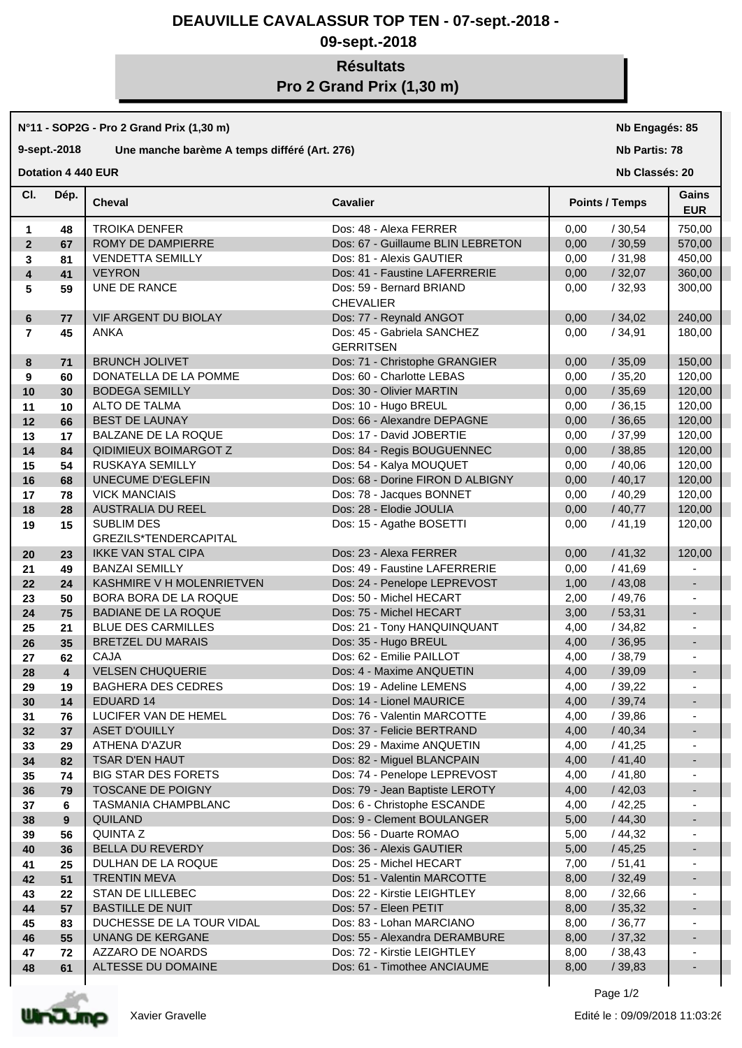## **DEAUVILLE CAVALASSUR TOP TEN - 07-sept.-2018 -**

## **09-sept.-2018**

# **Résultats Pro 2 Grand Prix (1,30 m)**

**N°11 - SOP2G - Pro 2 Grand Prix (1,30 m)**

#### **9-sept.-2018 Une manche barème A temps différé (Art. 276)**

**Dotation 4 440 EUR** 

**Nb Engagés: 85**

**Nb Partis: 78**

**Nb Classés: 20** 

| CI.                     | Dép.           | <b>Cheval</b>                              | <b>Cavalier</b>                                | <b>Points / Temps</b> | Gains<br><b>EUR</b>      |  |
|-------------------------|----------------|--------------------------------------------|------------------------------------------------|-----------------------|--------------------------|--|
| 1                       | 48             | <b>TROIKA DENFER</b>                       | Dos: 48 - Alexa FERRER                         | 0,00<br>/30,54        | 750,00                   |  |
| $\overline{2}$          | 67             | ROMY DE DAMPIERRE                          | Dos: 67 - Guillaume BLIN LEBRETON              | 0,00<br>/30,59        | 570,00                   |  |
| 3                       | 81             | <b>VENDETTA SEMILLY</b>                    | Dos: 81 - Alexis GAUTIER                       | /31,98<br>0,00        | 450,00                   |  |
| $\overline{\mathbf{4}}$ | 41             | <b>VEYRON</b>                              | Dos: 41 - Faustine LAFERRERIE                  | /32,07<br>0,00        | 360,00                   |  |
| 5                       | 59             | UNE DE RANCE                               | Dos: 59 - Bernard BRIAND<br><b>CHEVALIER</b>   | /32,93<br>0,00        | 300,00                   |  |
| 6                       | 77             | VIF ARGENT DU BIOLAY                       | Dos: 77 - Reynald ANGOT                        | /34,02<br>0,00        | 240,00                   |  |
| $\overline{7}$          | 45             | <b>ANKA</b>                                | Dos: 45 - Gabriela SANCHEZ<br><b>GERRITSEN</b> | 0,00<br>/34,91        | 180,00                   |  |
| 8                       | 71             | <b>BRUNCH JOLIVET</b>                      | Dos: 71 - Christophe GRANGIER                  | /35,09<br>0,00        | 150,00                   |  |
| 9                       | 60             | DONATELLA DE LA POMME                      | Dos: 60 - Charlotte LEBAS                      | 0,00<br>/35,20        | 120,00                   |  |
| 10                      | 30             | <b>BODEGA SEMILLY</b>                      | Dos: 30 - Olivier MARTIN                       | 0,00<br>/35,69        | 120,00                   |  |
| 11                      | 10             | ALTO DE TALMA                              | Dos: 10 - Hugo BREUL                           | 0,00<br>/36,15        | 120,00                   |  |
| 12                      | 66             | <b>BEST DE LAUNAY</b>                      | Dos: 66 - Alexandre DEPAGNE                    | /36,65<br>0,00        | 120,00                   |  |
| 13                      | 17             | BALZANE DE LA ROQUE                        | Dos: 17 - David JOBERTIE                       | 0,00<br>/37,99        | 120,00                   |  |
| 14                      | 84             | <b>QIDIMIEUX BOIMARGOT Z</b>               | Dos: 84 - Regis BOUGUENNEC                     | /38,85<br>0,00        | 120,00                   |  |
| 15                      | 54             | RUSKAYA SEMILLY                            | Dos: 54 - Kalya MOUQUET                        | /40,06<br>0,00        | 120,00                   |  |
| 16                      | 68             | UNECUME D'EGLEFIN                          | Dos: 68 - Dorine FIRON D ALBIGNY               | 0,00<br>/40,17        | 120,00                   |  |
| 17                      | 78             | <b>VICK MANCIAIS</b>                       | Dos: 78 - Jacques BONNET                       | /40,29<br>0,00        | 120,00                   |  |
| 18                      | 28             | <b>AUSTRALIA DU REEL</b>                   | Dos: 28 - Elodie JOULIA                        | 0,00<br>/40,77        | 120,00                   |  |
| 19                      | 15             | <b>SUBLIM DES</b><br>GREZILS*TENDERCAPITAL | Dos: 15 - Agathe BOSETTI                       | /41,19<br>0,00        | 120,00                   |  |
| 20                      | 23             | <b>IKKE VAN STAL CIPA</b>                  | Dos: 23 - Alexa FERRER                         | /41,32<br>0,00        | 120,00                   |  |
| 21                      | 49             | <b>BANZAI SEMILLY</b>                      | Dos: 49 - Faustine LAFERRERIE                  | 0,00<br>/41,69        |                          |  |
| 22                      | 24             | KASHMIRE V H MOLENRIETVEN                  | Dos: 24 - Penelope LEPREVOST                   | 1,00<br>/43,08        | $\overline{\phantom{a}}$ |  |
| 23                      | 50             | BORA BORA DE LA ROQUE                      | Dos: 50 - Michel HECART                        | 2,00<br>/ 49,76       | $\overline{\phantom{a}}$ |  |
| 24                      | 75             | <b>BADIANE DE LA ROQUE</b>                 | Dos: 75 - Michel HECART                        | 3,00<br>/53,31        | $\overline{\phantom{a}}$ |  |
| 25                      | 21             | <b>BLUE DES CARMILLES</b>                  | Dos: 21 - Tony HANQUINQUANT                    | 4,00<br>/34,82        | $\overline{\phantom{a}}$ |  |
| 26                      | 35             | <b>BRETZEL DU MARAIS</b>                   | Dos: 35 - Hugo BREUL                           | 4,00<br>/36,95        | $\overline{\phantom{a}}$ |  |
| 27                      | 62             | <b>CAJA</b>                                | Dos: 62 - Emilie PAILLOT                       | 4,00<br>/38,79        |                          |  |
| 28                      | $\overline{4}$ | <b>VELSEN CHUQUERIE</b>                    | Dos: 4 - Maxime ANQUETIN                       | 4,00<br>/39,09        |                          |  |
| 29                      | 19             | <b>BAGHERA DES CEDRES</b>                  | Dos: 19 - Adeline LEMENS                       | 4,00<br>/39,22        |                          |  |
| 30                      | 14             | <b>EDUARD 14</b>                           | Dos: 14 - Lionel MAURICE                       | /39,74<br>4,00        | $\blacksquare$           |  |
| 31                      | 76             | LUCIFER VAN DE HEMEL                       | Dos: 76 - Valentin MARCOTTE                    | 4,00<br>/39,86        |                          |  |
| 32                      | 37             | <b>ASET D'OUILLY</b>                       | Dos: 37 - Felicie BERTRAND                     | 4,00<br>/40,34        |                          |  |
| 33                      | 29             | ATHENA D'AZUR                              | Dos: 29 - Maxime ANQUETIN                      | 4,00<br>/41,25        |                          |  |
| 34                      | 82             | TSAR D'EN HAUT                             | Dos: 82 - Miguel BLANCPAIN                     | 4,00<br>/41,40        |                          |  |
| 35                      | 74             | <b>BIG STAR DES FORETS</b>                 | Dos: 74 - Penelope LEPREVOST                   | 4,00<br>/41,80        |                          |  |
| 36                      | 79             | TOSCANE DE POIGNY                          | Dos: 79 - Jean Baptiste LEROTY                 | 4,00<br>/42,03        |                          |  |
| 37                      | 6              | <b>TASMANIA CHAMPBLANC</b>                 | Dos: 6 - Christophe ESCANDE                    | 4,00<br>/42,25        |                          |  |
| 38                      | 9              | QUILAND                                    | Dos: 9 - Clement BOULANGER                     | 5,00<br>/44,30        |                          |  |
| 39                      | 56             | QUINTA Z                                   | Dos: 56 - Duarte ROMAO                         | 5,00<br>/44,32        |                          |  |
| 40                      | 36             | <b>BELLA DU REVERDY</b>                    | Dos: 36 - Alexis GAUTIER                       | 5,00<br>/45,25        |                          |  |
| 41                      | 25             | DULHAN DE LA ROQUE                         | Dos: 25 - Michel HECART                        | /51,41<br>7,00        |                          |  |
| 42                      | 51             | <b>TRENTIN MEVA</b>                        | Dos: 51 - Valentin MARCOTTE                    | 8,00<br>/32,49        |                          |  |
| 43                      | 22             | <b>STAN DE LILLEBEC</b>                    | Dos: 22 - Kirstie LEIGHTLEY                    | 8,00<br>/32,66        |                          |  |
| 44                      | 57             | <b>BASTILLE DE NUIT</b>                    | Dos: 57 - Eleen PETIT                          | 8,00<br>/35,32        |                          |  |
| 45                      | 83             | DUCHESSE DE LA TOUR VIDAL                  | Dos: 83 - Lohan MARCIANO                       | 8,00<br>/36,77        |                          |  |
| 46                      | 55             | UNANG DE KERGANE                           | Dos: 55 - Alexandra DERAMBURE                  | 8,00<br>/37,32        |                          |  |
| 47                      | 72             | AZZARO DE NOARDS                           | Dos: 72 - Kirstie LEIGHTLEY                    | 8,00<br>/38,43        |                          |  |
| 48                      | 61             | ALTESSE DU DOMAINE                         | Dos: 61 - Timothee ANCIAUME                    | 8,00<br>/39,83        |                          |  |



Page 1/2

T

I

 $\mathbf{I}$